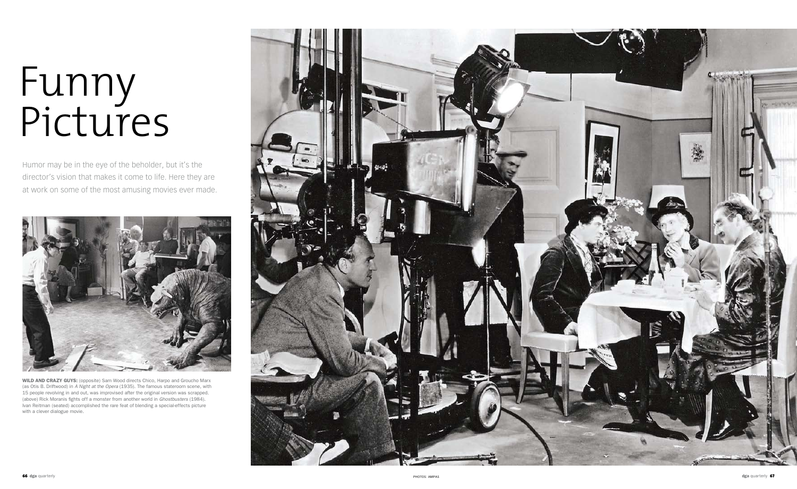WILD AND CRAZY GUYS: (opposite) Sam Wood directs Chico, Harpo and Groucho Marx (as Otis B. Driftwood) in *A Night at the Opera* (1935). The famous stateroom scene, with 15 people revolving in and out, was improvised after the original version was scrapped. (above) Rick Moranis fights off a monster from another world in *Ghostbusters* (1984). Ivan Reitman (seated) accomplished the rare feat of blending a special-effects picture with a clever dialogue movie.



## Funny Pictures

Humor may be in the eye of the beholder, but it's the director's vision that makes it come to life. Here they are at work on some of the most amusing movies ever made.

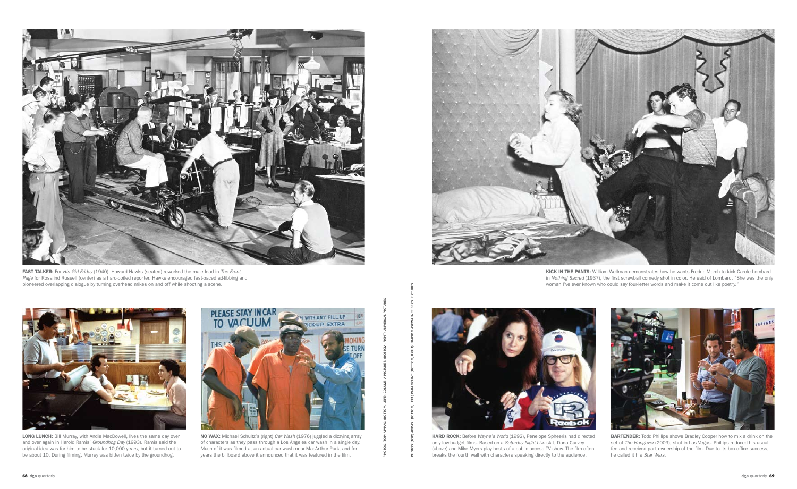

LONG LUNCH: Bill Murray, with Andie MacDowell, lives the same day over and over again in Harold Ramis' *Groundhog Day* (1993). Ramis said the original idea was for him to be stuck for 10,000 years, but it turned out to be about 10. During filming, Murray was bitten twice by the groundhog.

KICK IN THE PANTS: William Wellman demonstrates how he wants Fredric March to kick Carole Lombard in *Nothing Sacred* (1937), the first screwball comedy shot in color. He said of Lombard, "She was the only woman I've ever known who could say four-letter words and make it come out like poetry."



**BARTENDER:** Todd Phillips shows Bradley Cooper how to mix a drink on the set of *The Hangover* (2009), shot in Las Vegas. Phillips reduced his usual fee and received part ownership of the film. Due to its box-office success, he called it his *Star Wars*.



No Wax: Michael Schultz's (right) *Car Wash* (1976) juggled a dizzying array of characters as they pass through a Los Angeles car wash in a single day. Much of it was filmed at an actual car wash near MacArthur Park, and for years the billboard above it announced that it was featured in the film.



Hard Rock: Before *Wayne's World* (1992), Penelope Spheeris had directed only low-budget films. Based on a *Saturday Night Live* skit, Dana Carvey (above) and Mike Myers play hosts of a public access TV show. The film often breaks the fourth wall with characters speaking directly to the audience.



Fast Talker: For *His Girl Friday* (1940), Howard Hawks (seated) reworked the male lead in *The Front Page* for Rosalind Russell (center) as a hard-boiled reporter. Hawks encouraged fast-paced ad-libbing and pioneered overlapping dialogue by turning overhead mikes on and off while shooting a scene.

Photos: (top) AMPAS; (bottom, left): Columbia Pictures; (bottom, right) Universal Pictures



Photos: (top) AMPAS; (bottom, left) Paramount; (bottom, right): Frank Masi/Warner Bros. Pictures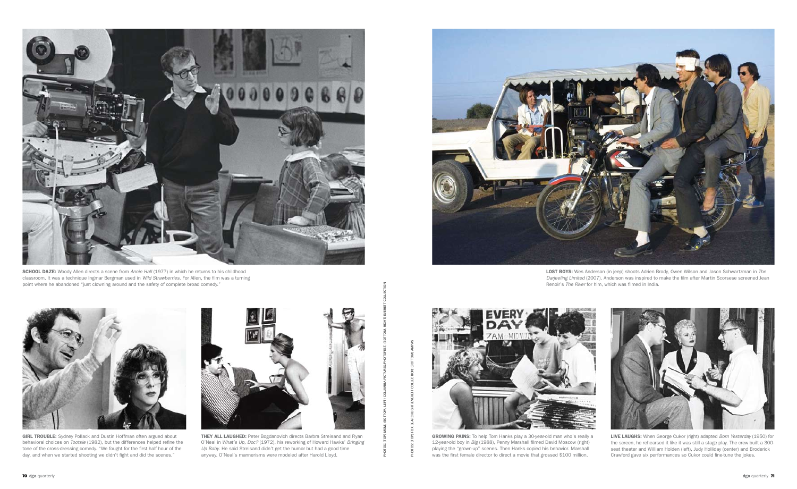

**GIRL TROUBLE:** Sydney Pollack and Dustin Hoffman often argued about behavioral choices on *Tootsie* (1982), but the differences helped refine the tone of the cross-dressing comedy. "We fought for the first half hour of the day, and when we started shooting we didn't fight and did the scenes."



THEY ALL LAUGHED: Peter Bogdanovich directs Barbra Streisand and Ryan O'Neal in *What's Up, Doc?* (1972), his reworking of Howard Hawks' *Bringing Up Baby*. He said Streisand didn't get the humor but had a good time anyway. O'Neal's mannerisms were modeled after Harold Lloyd.





GROWING PAINS: To help Tom Hanks play a 30-year-old man who's really a 12-year-old boy in *Big* (1988), Penny Marshall filmed David Moscow (right) playing the "grown-up" scenes. Then Hanks copied his behavior. Marshall was the first female director to direct a movie that grossed \$100 million.

LOST BOYS: Wes Anderson (in jeep) shoots Adrien Brody, Owen Wilson and Jason Schwartzman in The *Darjeeling Limited* (2007). Anderson was inspired to make the film after Martin Scorsese screened Jean Renoir's *The River* for him, which was filmed in India.



Live Laughs: When George Cukor (right) adapted *Born Yesterday* (1950) for the screen, he rehearsed it like it was still a stage play. The crew built a 300 seat theater and William Holden (left), Judy Holliday (center) and Broderick Crawford gave six performances so Cukor could fine-tune the jokes.



School Daze: Woody Allen directs a scene from *Annie Hall* (1977) in which he returns to his childhood classroom. It was a technique Ingmar Bergman used in *Wild Strawberries*. For Allen, the film was a turning point where he abandoned "just clowning around and the safety of complete broad comedy."

Photos: (top) MGM; (bottom, left) Columbia Pictures/Photofest; (bottom, right) Everett Collection

Photos: (top) Fox Searchlight/Everett Collection; (bottom) AMPAS